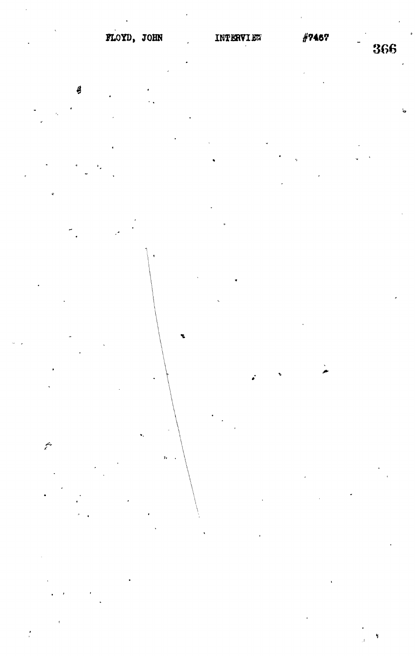$\boldsymbol{\beta}$ 

 $\tilde{\mathcal{L}}$ 

٧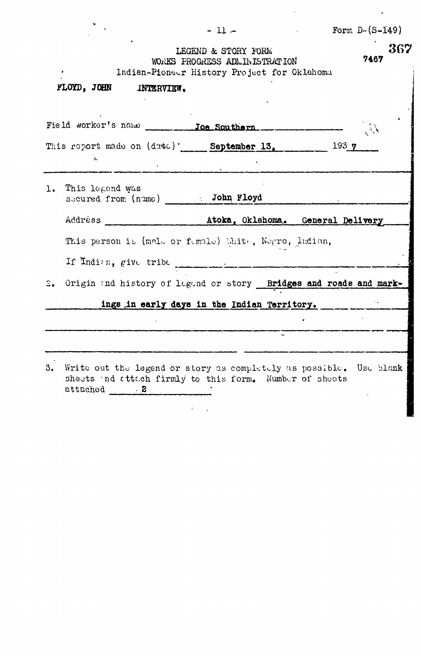| Form $D - (S-149)$ |  |  |  |  |
|--------------------|--|--|--|--|
|--------------------|--|--|--|--|

 $\ddot{\phantom{0}}$ 

| Form $D - (S-1)$ |  |
|------------------|--|
|                  |  |

 $\mathcal{L}_{\text{max}}$  and  $\mathcal{L}_{\text{max}}$ 

|                                                | $\sim$ Form D- $(S-149)$<br>$-11 -$                                                                                                                                |                             |  |  |  |
|------------------------------------------------|--------------------------------------------------------------------------------------------------------------------------------------------------------------------|-----------------------------|--|--|--|
|                                                | LEGEND & STORY FORM<br>WORKS PROGRESS ADMINISTRATION<br>Indian-Pioneer History Project for Oklahoma                                                                | 367<br>7467                 |  |  |  |
|                                                | FLOYD, JOHN<br>INTERVIEW.                                                                                                                                          |                             |  |  |  |
|                                                |                                                                                                                                                                    | $\mathcal{A}^{\mathcal{L}}$ |  |  |  |
| This report made on (dute). September 13, 1937 |                                                                                                                                                                    |                             |  |  |  |
|                                                |                                                                                                                                                                    |                             |  |  |  |
| ı.                                             | This legend was<br>seured from (nume) John Floyd                                                                                                                   |                             |  |  |  |
|                                                | Addréss _________________________Atoka, Oklahoma. General Delivery                                                                                                 |                             |  |  |  |
|                                                | This person it (male or female) thite, Negro, Indian,                                                                                                              |                             |  |  |  |
|                                                | If Indian, give tribe                                                                                                                                              |                             |  |  |  |
| 2.                                             | Origin and history of lagand or story Bridges and roads and mark-                                                                                                  |                             |  |  |  |
|                                                | ings in early days in the Indian Territory.                                                                                                                        |                             |  |  |  |
|                                                |                                                                                                                                                                    |                             |  |  |  |
|                                                |                                                                                                                                                                    |                             |  |  |  |
| 3.                                             | Write out the legend or story as completely as possible. Use blank<br>sheets and attach firmly to this form. Number of sheets<br>attached 2<br><b>State Street</b> |                             |  |  |  |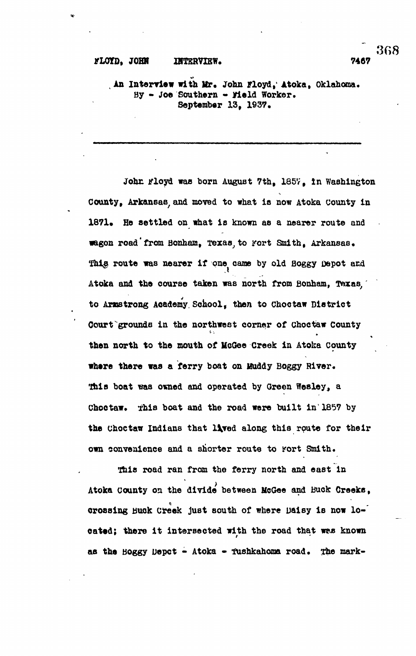## **JfLOTD, JOHN DTTSRVIEW. 7407**

**An Interview with Mr. John Floyd,' Atoka, Oklahoma• By - Joe Southern • Held Worker. September 13, 1937.**

John Floyd was born August 7th, 1857, in Washington **County, Arkansa8/ and moved to what is now Atoka county in** 1871. He settled on what is known as a nearer route and **wagon road'from Bonham, Texas, to jrort Smith, Arkansas, This route was nearer if one cane by old Boggy Depot and Atoka and the course taken was north from Bonham, Texas, to Armstrong Academy. School, then to Choc taw District Court grounds in the northwest corner of choctaw County then north to the mouth of HcQee Creek in Atoka County where there was a ferry boat on Muddy Boggy River, this boat was owned and operated by Green Wesley, a Choc taw. This boat and the road were built in 1857 by the choctaw Indians that lXved along this route for their own convenience and a shorter route to irort Smith.**

**This road ran from the ferry north and east in Atoka county on the divide between McGee and Buck Creeks, crossing Buck Creek just south of where Daisy is now lo**cated; there it intersected with the road that was known as the Boggy Depct - Atoka - fushkahoma road. The mark-

368